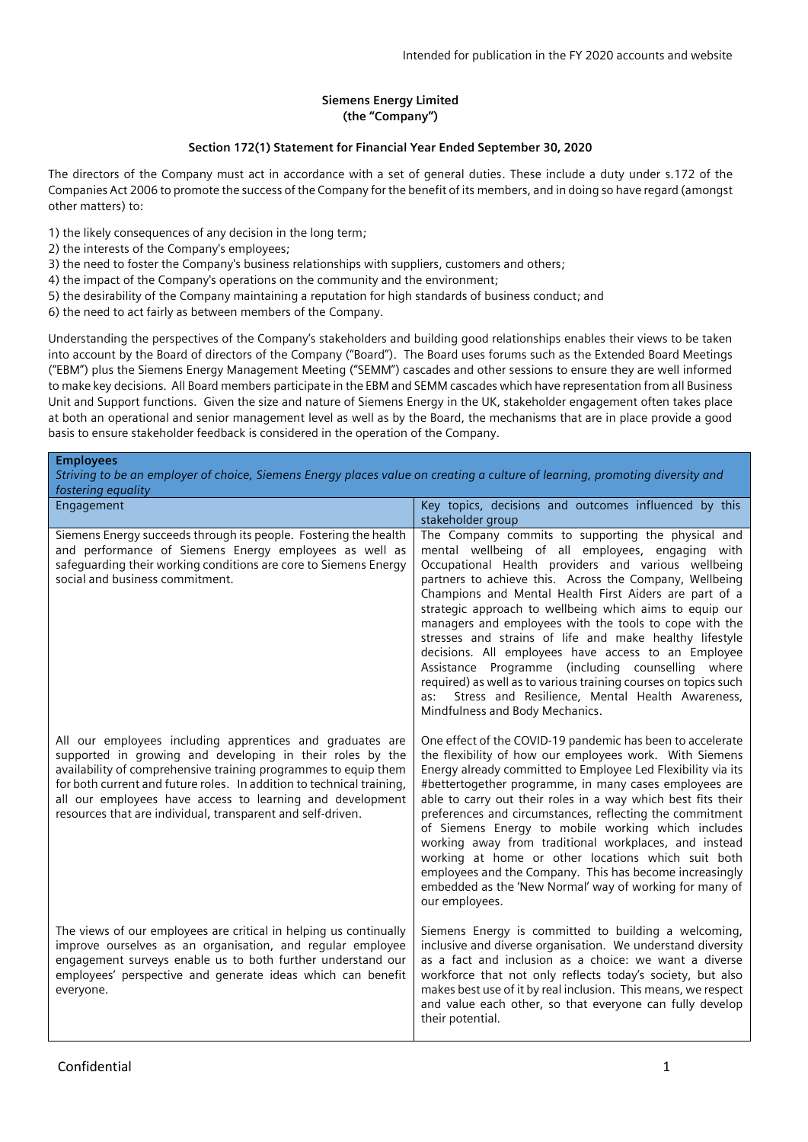## **Siemens Energy Limited (the "Company")**

## **Section 172(1) Statement for Financial Year Ended September 30, 2020**

The directors of the Company must act in accordance with a set of general duties. These include a duty under s.172 of the Companies Act 2006 to promote the success of the Company for the benefit of its members, and in doing so have regard (amongst other matters) to:

- 1) the likely consequences of any decision in the long term;
- 2) the interests of the Company's employees;
- 3) the need to foster the Company's business relationships with suppliers, customers and others;
- 4) the impact of the Company's operations on the community and the environment;
- 5) the desirability of the Company maintaining a reputation for high standards of business conduct; and
- 6) the need to act fairly as between members of the Company.

Understanding the perspectives of the Company's stakeholders and building good relationships enables their views to be taken into account by the Board of directors of the Company ("Board"). The Board uses forums such as the Extended Board Meetings ("EBM") plus the Siemens Energy Management Meeting ("SEMM") cascades and other sessions to ensure they are well informed to make key decisions. All Board members participate in the EBM and SEMM cascades which have representation from all Business Unit and Support functions. Given the size and nature of Siemens Energy in the UK, stakeholder engagement often takes place at both an operational and senior management level as well as by the Board, the mechanisms that are in place provide a good basis to ensure stakeholder feedback is considered in the operation of the Company.

| <b>Employees</b>                                                                                                                                                                                                                                                                                                                                                                               |                                                                                                                                                                                                                                                                                                                                                                                                                                                                                                                                                                                                                                                                                                                             |  |
|------------------------------------------------------------------------------------------------------------------------------------------------------------------------------------------------------------------------------------------------------------------------------------------------------------------------------------------------------------------------------------------------|-----------------------------------------------------------------------------------------------------------------------------------------------------------------------------------------------------------------------------------------------------------------------------------------------------------------------------------------------------------------------------------------------------------------------------------------------------------------------------------------------------------------------------------------------------------------------------------------------------------------------------------------------------------------------------------------------------------------------------|--|
| Striving to be an employer of choice, Siemens Energy places value on creating a culture of learning, promoting diversity and                                                                                                                                                                                                                                                                   |                                                                                                                                                                                                                                                                                                                                                                                                                                                                                                                                                                                                                                                                                                                             |  |
| fostering equality                                                                                                                                                                                                                                                                                                                                                                             |                                                                                                                                                                                                                                                                                                                                                                                                                                                                                                                                                                                                                                                                                                                             |  |
| Engagement                                                                                                                                                                                                                                                                                                                                                                                     | Key topics, decisions and outcomes influenced by this<br>stakeholder group                                                                                                                                                                                                                                                                                                                                                                                                                                                                                                                                                                                                                                                  |  |
| Siemens Energy succeeds through its people. Fostering the health<br>and performance of Siemens Energy employees as well as<br>safeguarding their working conditions are core to Siemens Energy<br>social and business commitment.                                                                                                                                                              | The Company commits to supporting the physical and<br>mental wellbeing of all employees, engaging with<br>Occupational Health providers and various wellbeing<br>partners to achieve this. Across the Company, Wellbeing<br>Champions and Mental Health First Aiders are part of a<br>strategic approach to wellbeing which aims to equip our<br>managers and employees with the tools to cope with the<br>stresses and strains of life and make healthy lifestyle<br>decisions. All employees have access to an Employee<br>Assistance Programme (including counselling where<br>required) as well as to various training courses on topics such<br>Stress and Resilience, Mental Health Awareness,<br>as:                 |  |
| All our employees including apprentices and graduates are<br>supported in growing and developing in their roles by the<br>availability of comprehensive training programmes to equip them<br>for both current and future roles. In addition to technical training,<br>all our employees have access to learning and development<br>resources that are individual, transparent and self-driven. | Mindfulness and Body Mechanics.<br>One effect of the COVID-19 pandemic has been to accelerate<br>the flexibility of how our employees work. With Siemens<br>Energy already committed to Employee Led Flexibility via its<br>#bettertogether programme, in many cases employees are<br>able to carry out their roles in a way which best fits their<br>preferences and circumstances, reflecting the commitment<br>of Siemens Energy to mobile working which includes<br>working away from traditional workplaces, and instead<br>working at home or other locations which suit both<br>employees and the Company. This has become increasingly<br>embedded as the 'New Normal' way of working for many of<br>our employees. |  |
| The views of our employees are critical in helping us continually<br>improve ourselves as an organisation, and regular employee<br>engagement surveys enable us to both further understand our<br>employees' perspective and generate ideas which can benefit<br>everyone.                                                                                                                     | Siemens Energy is committed to building a welcoming,<br>inclusive and diverse organisation. We understand diversity<br>as a fact and inclusion as a choice: we want a diverse<br>workforce that not only reflects today's society, but also<br>makes best use of it by real inclusion. This means, we respect<br>and value each other, so that everyone can fully develop<br>their potential.                                                                                                                                                                                                                                                                                                                               |  |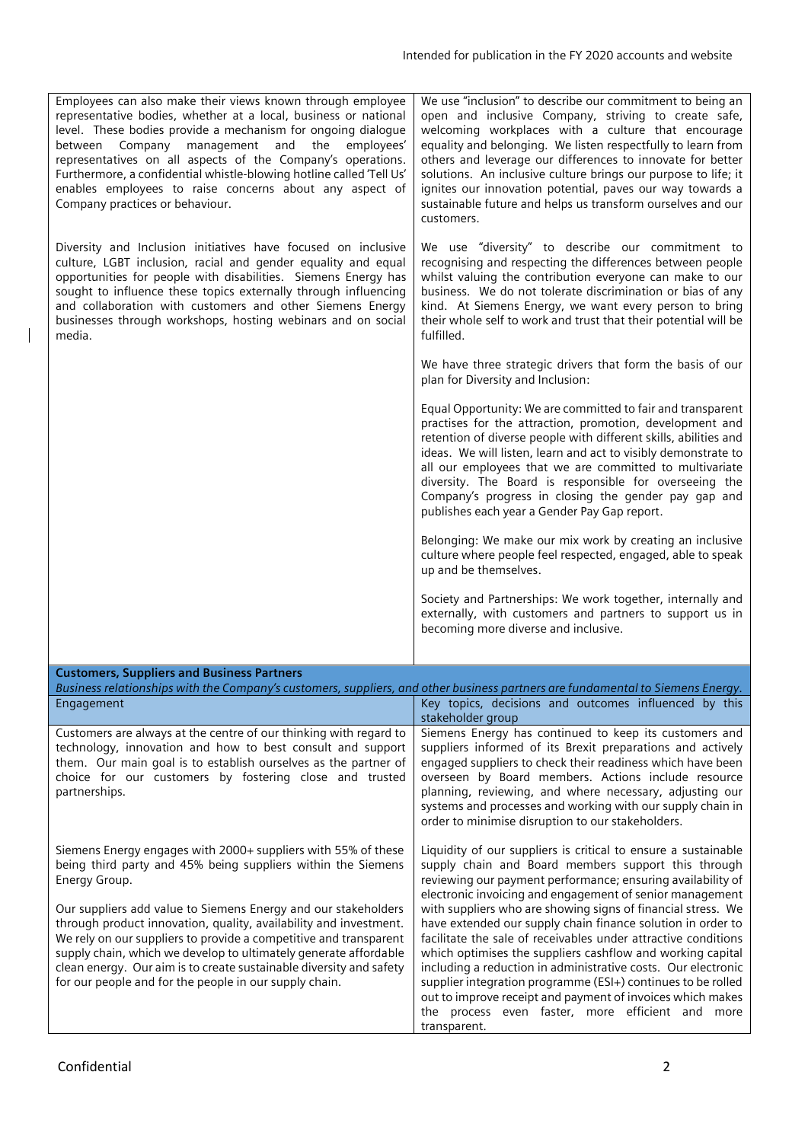| Employees can also make their views known through employee<br>representative bodies, whether at a local, business or national<br>level. These bodies provide a mechanism for ongoing dialogue<br>between Company management and the<br>employees'<br>representatives on all aspects of the Company's operations.                                                                                              | We use "inclusion" to describe our commitment to being an<br>open and inclusive Company, striving to create safe,<br>welcoming workplaces with a culture that encourage<br>equality and belonging. We listen respectfully to learn from<br>others and leverage our differences to innovate for better                                                                                                                                                                                      |
|---------------------------------------------------------------------------------------------------------------------------------------------------------------------------------------------------------------------------------------------------------------------------------------------------------------------------------------------------------------------------------------------------------------|--------------------------------------------------------------------------------------------------------------------------------------------------------------------------------------------------------------------------------------------------------------------------------------------------------------------------------------------------------------------------------------------------------------------------------------------------------------------------------------------|
| Furthermore, a confidential whistle-blowing hotline called 'Tell Us'<br>enables employees to raise concerns about any aspect of<br>Company practices or behaviour.                                                                                                                                                                                                                                            | solutions. An inclusive culture brings our purpose to life; it<br>ignites our innovation potential, paves our way towards a<br>sustainable future and helps us transform ourselves and our<br>customers.                                                                                                                                                                                                                                                                                   |
| Diversity and Inclusion initiatives have focused on inclusive<br>culture, LGBT inclusion, racial and gender equality and equal<br>opportunities for people with disabilities. Siemens Energy has<br>sought to influence these topics externally through influencing<br>and collaboration with customers and other Siemens Energy<br>businesses through workshops, hosting webinars and on social<br>media.    | We use "diversity" to describe our commitment to<br>recognising and respecting the differences between people<br>whilst valuing the contribution everyone can make to our<br>business. We do not tolerate discrimination or bias of any<br>kind. At Siemens Energy, we want every person to bring<br>their whole self to work and trust that their potential will be<br>fulfilled.                                                                                                         |
|                                                                                                                                                                                                                                                                                                                                                                                                               | We have three strategic drivers that form the basis of our<br>plan for Diversity and Inclusion:                                                                                                                                                                                                                                                                                                                                                                                            |
|                                                                                                                                                                                                                                                                                                                                                                                                               | Equal Opportunity: We are committed to fair and transparent<br>practises for the attraction, promotion, development and<br>retention of diverse people with different skills, abilities and<br>ideas. We will listen, learn and act to visibly demonstrate to<br>all our employees that we are committed to multivariate<br>diversity. The Board is responsible for overseeing the<br>Company's progress in closing the gender pay gap and<br>publishes each year a Gender Pay Gap report. |
|                                                                                                                                                                                                                                                                                                                                                                                                               | Belonging: We make our mix work by creating an inclusive<br>culture where people feel respected, engaged, able to speak<br>up and be themselves.                                                                                                                                                                                                                                                                                                                                           |
|                                                                                                                                                                                                                                                                                                                                                                                                               | Society and Partnerships: We work together, internally and<br>externally, with customers and partners to support us in<br>becoming more diverse and inclusive.                                                                                                                                                                                                                                                                                                                             |
|                                                                                                                                                                                                                                                                                                                                                                                                               |                                                                                                                                                                                                                                                                                                                                                                                                                                                                                            |
| <b>Customers, Suppliers and Business Partners</b><br>Business relationships with the Company's customers, suppliers, and other business partners are fundamental to Siemens Energy.                                                                                                                                                                                                                           |                                                                                                                                                                                                                                                                                                                                                                                                                                                                                            |
| Engagement                                                                                                                                                                                                                                                                                                                                                                                                    | Key topics, decisions and outcomes influenced by this<br>stakeholder group                                                                                                                                                                                                                                                                                                                                                                                                                 |
| Customers are always at the centre of our thinking with regard to<br>technology, innovation and how to best consult and support<br>them. Our main goal is to establish ourselves as the partner of<br>choice for our customers by fostering close and trusted<br>partnerships.                                                                                                                                | Siemens Energy has continued to keep its customers and<br>suppliers informed of its Brexit preparations and actively<br>engaged suppliers to check their readiness which have been<br>overseen by Board members. Actions include resource<br>planning, reviewing, and where necessary, adjusting our<br>systems and processes and working with our supply chain in<br>order to minimise disruption to our stakeholders.                                                                    |
| Siemens Energy engages with 2000+ suppliers with 55% of these<br>being third party and 45% being suppliers within the Siemens<br>Energy Group.                                                                                                                                                                                                                                                                | Liquidity of our suppliers is critical to ensure a sustainable<br>supply chain and Board members support this through<br>reviewing our payment performance; ensuring availability of<br>electronic invoicing and engagement of senior management                                                                                                                                                                                                                                           |
| Our suppliers add value to Siemens Energy and our stakeholders<br>through product innovation, quality, availability and investment.<br>We rely on our suppliers to provide a competitive and transparent<br>supply chain, which we develop to ultimately generate affordable<br>clean energy. Our aim is to create sustainable diversity and safety<br>for our people and for the people in our supply chain. | with suppliers who are showing signs of financial stress. We<br>have extended our supply chain finance solution in order to<br>facilitate the sale of receivables under attractive conditions<br>which optimises the suppliers cashflow and working capital<br>including a reduction in administrative costs. Our electronic<br>supplier integration programme (ESI+) continues to be rolled                                                                                               |

out to improve receipt and payment of invoices which makes the process even faster, more efficient and more

transparent.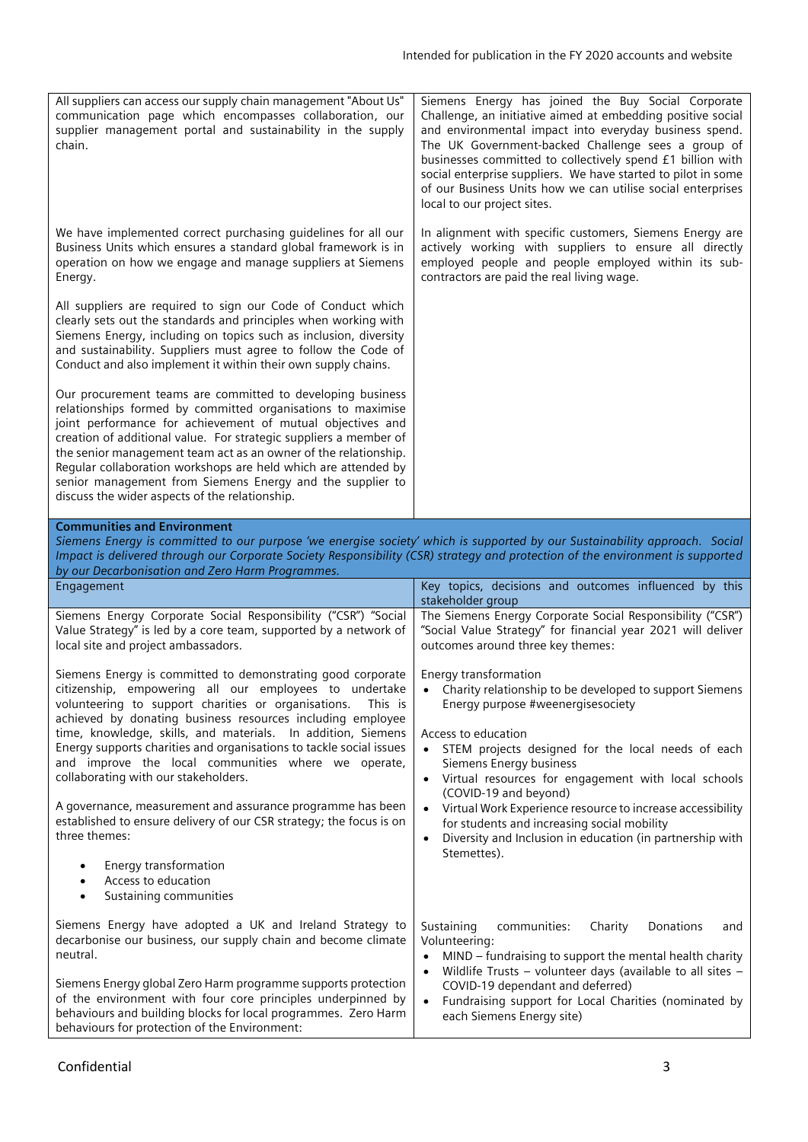| All suppliers can access our supply chain management "About Us"<br>communication page which encompasses collaboration, our<br>supplier management portal and sustainability in the supply<br>chain.                                                                                                                                                                                                                                                                                                              | Siemens Energy has joined the Buy Social Corporate<br>Challenge, an initiative aimed at embedding positive social<br>and environmental impact into everyday business spend.<br>The UK Government-backed Challenge sees a group of<br>businesses committed to collectively spend £1 billion with<br>social enterprise suppliers. We have started to pilot in some<br>of our Business Units how we can utilise social enterprises<br>local to our project sites. |
|------------------------------------------------------------------------------------------------------------------------------------------------------------------------------------------------------------------------------------------------------------------------------------------------------------------------------------------------------------------------------------------------------------------------------------------------------------------------------------------------------------------|----------------------------------------------------------------------------------------------------------------------------------------------------------------------------------------------------------------------------------------------------------------------------------------------------------------------------------------------------------------------------------------------------------------------------------------------------------------|
| We have implemented correct purchasing guidelines for all our<br>Business Units which ensures a standard global framework is in<br>operation on how we engage and manage suppliers at Siemens<br>Energy.                                                                                                                                                                                                                                                                                                         | In alignment with specific customers, Siemens Energy are<br>actively working with suppliers to ensure all directly<br>employed people and people employed within its sub-<br>contractors are paid the real living wage.                                                                                                                                                                                                                                        |
| All suppliers are required to sign our Code of Conduct which<br>clearly sets out the standards and principles when working with<br>Siemens Energy, including on topics such as inclusion, diversity<br>and sustainability. Suppliers must agree to follow the Code of<br>Conduct and also implement it within their own supply chains.                                                                                                                                                                           |                                                                                                                                                                                                                                                                                                                                                                                                                                                                |
| Our procurement teams are committed to developing business<br>relationships formed by committed organisations to maximise<br>joint performance for achievement of mutual objectives and<br>creation of additional value. For strategic suppliers a member of<br>the senior management team act as an owner of the relationship.<br>Regular collaboration workshops are held which are attended by<br>senior management from Siemens Energy and the supplier to<br>discuss the wider aspects of the relationship. |                                                                                                                                                                                                                                                                                                                                                                                                                                                                |
| <b>Communities and Environment</b>                                                                                                                                                                                                                                                                                                                                                                                                                                                                               |                                                                                                                                                                                                                                                                                                                                                                                                                                                                |
|                                                                                                                                                                                                                                                                                                                                                                                                                                                                                                                  |                                                                                                                                                                                                                                                                                                                                                                                                                                                                |
| Impact is delivered through our Corporate Society Responsibility (CSR) strategy and protection of the environment is supported                                                                                                                                                                                                                                                                                                                                                                                   | Siemens Energy is committed to our purpose 'we energise society' which is supported by our Sustainability approach. Social                                                                                                                                                                                                                                                                                                                                     |
| by our Decarbonisation and Zero Harm Programmes.<br>Engagement                                                                                                                                                                                                                                                                                                                                                                                                                                                   | Key topics, decisions and outcomes influenced by this<br>stakeholder group                                                                                                                                                                                                                                                                                                                                                                                     |
| Siemens Energy Corporate Social Responsibility ("CSR") "Social<br>Value Strategy" is led by a core team, supported by a network of<br>local site and project ambassadors.                                                                                                                                                                                                                                                                                                                                        | The Siemens Energy Corporate Social Responsibility ("CSR")<br>"Social Value Strategy" for financial year 2021 will deliver<br>outcomes around three key themes:                                                                                                                                                                                                                                                                                                |
| Siemens Energy is committed to demonstrating good corporate<br>citizenship, empowering all our employees to undertake<br>volunteering to support charities or organisations.<br>This is<br>achieved by donating business resources including employee<br>time, knowledge, skills, and materials. In addition, Siemens<br>Energy supports charities and organisations to tackle social issues<br>and improve the local communities where we operate,<br>collaborating with our stakeholders.                      | Energy transformation<br>Charity relationship to be developed to support Siemens<br>$\bullet$<br>Energy purpose #weenergisesociety<br>Access to education<br>STEM projects designed for the local needs of each<br>$\bullet$<br>Siemens Energy business<br>• Virtual resources for engagement with local schools                                                                                                                                               |
| A governance, measurement and assurance programme has been<br>established to ensure delivery of our CSR strategy; the focus is on<br>three themes:                                                                                                                                                                                                                                                                                                                                                               | (COVID-19 and beyond)<br>Virtual Work Experience resource to increase accessibility<br>$\bullet$<br>for students and increasing social mobility<br>Diversity and Inclusion in education (in partnership with<br>$\bullet$                                                                                                                                                                                                                                      |
| Energy transformation<br>Access to education<br>٠<br>Sustaining communities<br>$\bullet$                                                                                                                                                                                                                                                                                                                                                                                                                         | Stemettes).                                                                                                                                                                                                                                                                                                                                                                                                                                                    |

Siemens Energy global Zero Harm programme supports protection of the environment with four core principles underpinned by behaviours and building blocks for local programmes. Zero Harm behaviours for protection of the Environment: COVID-19 dependant and deferred) • Fundraising support for Local Charities (nominated by each Siemens Energy site)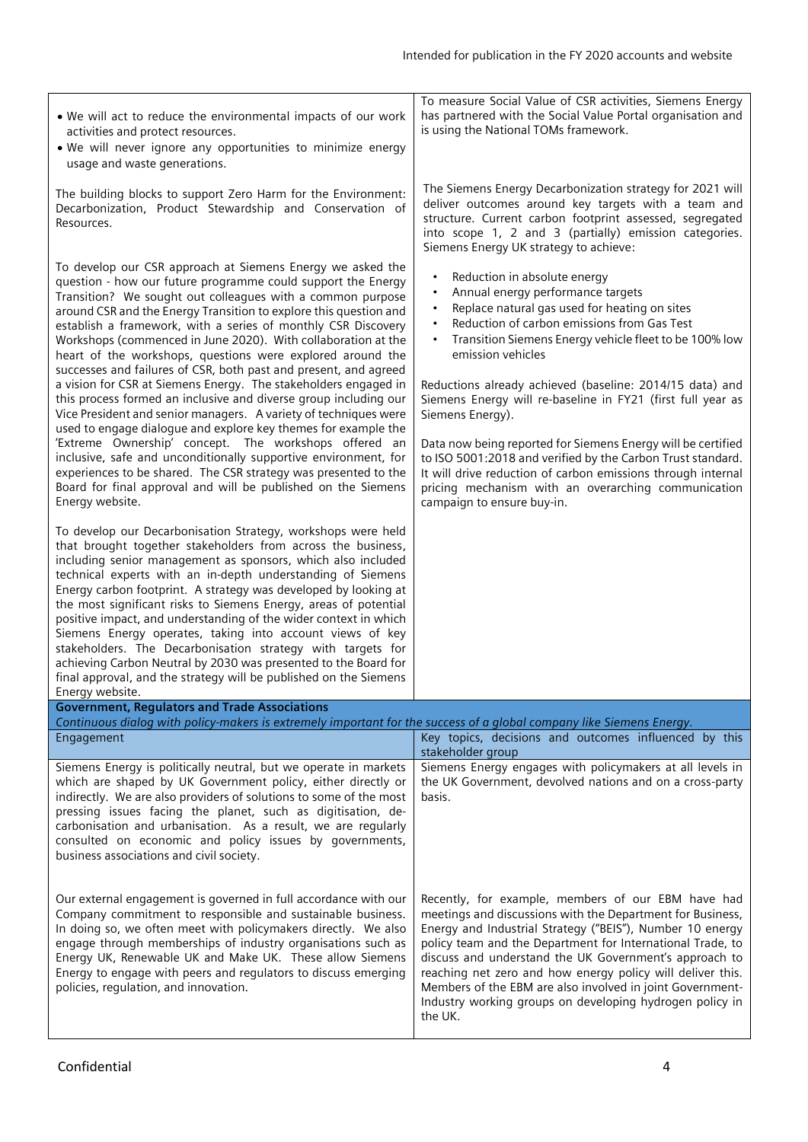- We will act to reduce the environmental impacts of our work activities and protect resources.
- We will never ignore any opportunities to minimize energy usage and waste generations.

The building blocks to support Zero Harm for the Environment: Decarbonization, Product Stewardship and Conservation of Resources.

To develop our CSR approach at Siemens Energy we asked the question - how our future programme could support the Energy Transition? We sought out colleagues with a common purpose around CSR and the Energy Transition to explore this question and establish a framework, with a series of monthly CSR Discovery Workshops (commenced in June 2020). With collaboration at the heart of the workshops, questions were explored around the successes and failures of CSR, both past and present, and agreed a vision for CSR at Siemens Energy. The stakeholders engaged in this process formed an inclusive and diverse group including our Vice President and senior managers. A variety of techniques were used to engage dialogue and explore key themes for example the 'Extreme Ownership' concept. The workshops offered an inclusive, safe and unconditionally supportive environment, for experiences to be shared. The CSR strategy was presented to the Board for final approval and will be published on the Siemens Energy website.

To develop our Decarbonisation Strategy, workshops were held that brought together stakeholders from across the business, including senior management as sponsors, which also included technical experts with an in-depth understanding of Siemens Energy carbon footprint. A strategy was developed by looking at the most significant risks to Siemens Energy, areas of potential positive impact, and understanding of the wider context in which Siemens Energy operates, taking into account views of key stakeholders. The Decarbonisation strategy with targets for achieving Carbon Neutral by 2030 was presented to the Board for final approval, and the strategy will be published on the Siemens

To measure Social Value of CSR activities, Siemens Energy has partnered with the Social Value Portal organisation and is using the National TOMs framework.

The Siemens Energy Decarbonization strategy for 2021 will deliver outcomes around key targets with a team and structure. Current carbon footprint assessed, segregated into scope 1, 2 and 3 (partially) emission categories. Siemens Energy UK strategy to achieve:

- Reduction in absolute energy
- Annual energy performance targets
- Replace natural gas used for heating on sites
- Reduction of carbon emissions from Gas Test
- Transition Siemens Energy vehicle fleet to be 100% low emission vehicles

Reductions already achieved (baseline: 2014/15 data) and Siemens Energy will re-baseline in FY21 (first full year as Siemens Energy).

Data now being reported for Siemens Energy will be certified to ISO 5001:2018 and verified by the Carbon Trust standard. It will drive reduction of carbon emissions through internal pricing mechanism with an overarching communication campaign to ensure buy-in.

| Energy website.                                                                                                                                                                                                                                                                                                                                                                                                                         |                                                                                                                                                                                                                                                                                                                                                                                                                                                                                                         |  |
|-----------------------------------------------------------------------------------------------------------------------------------------------------------------------------------------------------------------------------------------------------------------------------------------------------------------------------------------------------------------------------------------------------------------------------------------|---------------------------------------------------------------------------------------------------------------------------------------------------------------------------------------------------------------------------------------------------------------------------------------------------------------------------------------------------------------------------------------------------------------------------------------------------------------------------------------------------------|--|
| <b>Government, Regulators and Trade Associations</b>                                                                                                                                                                                                                                                                                                                                                                                    |                                                                                                                                                                                                                                                                                                                                                                                                                                                                                                         |  |
| Continuous dialog with policy-makers is extremely important for the success of a global company like Siemens Energy.                                                                                                                                                                                                                                                                                                                    |                                                                                                                                                                                                                                                                                                                                                                                                                                                                                                         |  |
| Engagement                                                                                                                                                                                                                                                                                                                                                                                                                              | Key topics, decisions and outcomes influenced by this                                                                                                                                                                                                                                                                                                                                                                                                                                                   |  |
|                                                                                                                                                                                                                                                                                                                                                                                                                                         | stakeholder group                                                                                                                                                                                                                                                                                                                                                                                                                                                                                       |  |
| Siemens Energy is politically neutral, but we operate in markets<br>which are shaped by UK Government policy, either directly or<br>indirectly. We are also providers of solutions to some of the most<br>pressing issues facing the planet, such as digitisation, de-<br>carbonisation and urbanisation. As a result, we are regularly                                                                                                 | Siemens Energy engages with policymakers at all levels in<br>the UK Government, devolved nations and on a cross-party<br>basis.                                                                                                                                                                                                                                                                                                                                                                         |  |
| consulted on economic and policy issues by governments,<br>business associations and civil society.                                                                                                                                                                                                                                                                                                                                     |                                                                                                                                                                                                                                                                                                                                                                                                                                                                                                         |  |
| Our external engagement is governed in full accordance with our<br>Company commitment to responsible and sustainable business.<br>In doing so, we often meet with policymakers directly. We also<br>engage through memberships of industry organisations such as<br>Energy UK, Renewable UK and Make UK. These allow Siemens<br>Energy to engage with peers and regulators to discuss emerging<br>policies, regulation, and innovation. | Recently, for example, members of our EBM have had<br>meetings and discussions with the Department for Business,<br>Energy and Industrial Strategy ("BEIS"), Number 10 energy<br>policy team and the Department for International Trade, to<br>discuss and understand the UK Government's approach to<br>reaching net zero and how energy policy will deliver this.<br>Members of the EBM are also involved in joint Government-<br>Industry working groups on developing hydrogen policy in<br>the UK. |  |